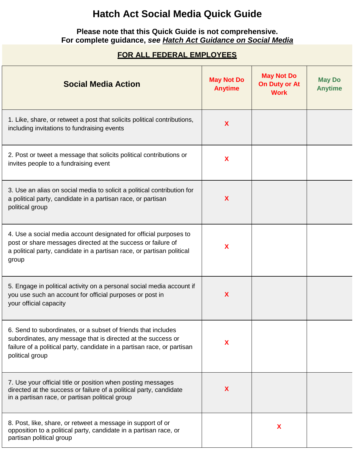## **Hatch Act Social Media Quick Guide**

## **Please note that this Quick Guide is not comprehensive. For complete guidance,** *see Hatch Act Guidance on Social Media*

## **FOR ALL FEDERAL EMPLOYEES**

| <b>Social Media Action</b>                                                                                                                                                                                                  | <b>May Not Do</b><br><b>Anytime</b> | <b>May Not Do</b><br><b>On Duty or At</b><br><b>Work</b> | <b>May Do</b><br><b>Anytime</b> |
|-----------------------------------------------------------------------------------------------------------------------------------------------------------------------------------------------------------------------------|-------------------------------------|----------------------------------------------------------|---------------------------------|
| 1. Like, share, or retweet a post that solicits political contributions,<br>including invitations to fundraising events                                                                                                     | X                                   |                                                          |                                 |
| 2. Post or tweet a message that solicits political contributions or<br>invites people to a fundraising event                                                                                                                | X                                   |                                                          |                                 |
| 3. Use an alias on social media to solicit a political contribution for<br>a political party, candidate in a partisan race, or partisan<br>political group                                                                  | X                                   |                                                          |                                 |
| 4. Use a social media account designated for official purposes to<br>post or share messages directed at the success or failure of<br>a political party, candidate in a partisan race, or partisan political<br>group        | X                                   |                                                          |                                 |
| 5. Engage in political activity on a personal social media account if<br>you use such an account for official purposes or post in<br>your official capacity                                                                 | X                                   |                                                          |                                 |
| 6. Send to subordinates, or a subset of friends that includes<br>subordinates, any message that is directed at the success or<br>failure of a political party, candidate in a partisan race, or partisan<br>political group | X                                   |                                                          |                                 |
| 7. Use your official title or position when posting messages<br>directed at the success or failure of a political party, candidate<br>in a partisan race, or partisan political group                                       | $\boldsymbol{\mathsf{X}}$           |                                                          |                                 |
| 8. Post, like, share, or retweet a message in support of or<br>opposition to a political party, candidate in a partisan race, or<br>partisan political group                                                                |                                     | X                                                        |                                 |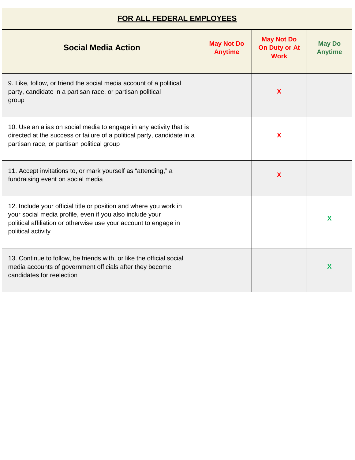|--|

| <b>Social Media Action</b>                                                                                                                                                                                              | <b>May Not Do</b><br><b>Anytime</b> | <b>May Not Do</b><br><b>On Duty or At</b><br><b>Work</b> | <b>May Do</b><br><b>Anytime</b> |
|-------------------------------------------------------------------------------------------------------------------------------------------------------------------------------------------------------------------------|-------------------------------------|----------------------------------------------------------|---------------------------------|
| 9. Like, follow, or friend the social media account of a political<br>party, candidate in a partisan race, or partisan political<br>group                                                                               |                                     | X                                                        |                                 |
| 10. Use an alias on social media to engage in any activity that is<br>directed at the success or failure of a political party, candidate in a<br>partisan race, or partisan political group                             |                                     | X                                                        |                                 |
| 11. Accept invitations to, or mark yourself as "attending," a<br>fundraising event on social media                                                                                                                      |                                     | X                                                        |                                 |
| 12. Include your official title or position and where you work in<br>your social media profile, even if you also include your<br>political affiliation or otherwise use your account to engage in<br>political activity |                                     |                                                          | X                               |
| 13. Continue to follow, be friends with, or like the official social<br>media accounts of government officials after they become<br>candidates for reelection                                                           |                                     |                                                          | X                               |